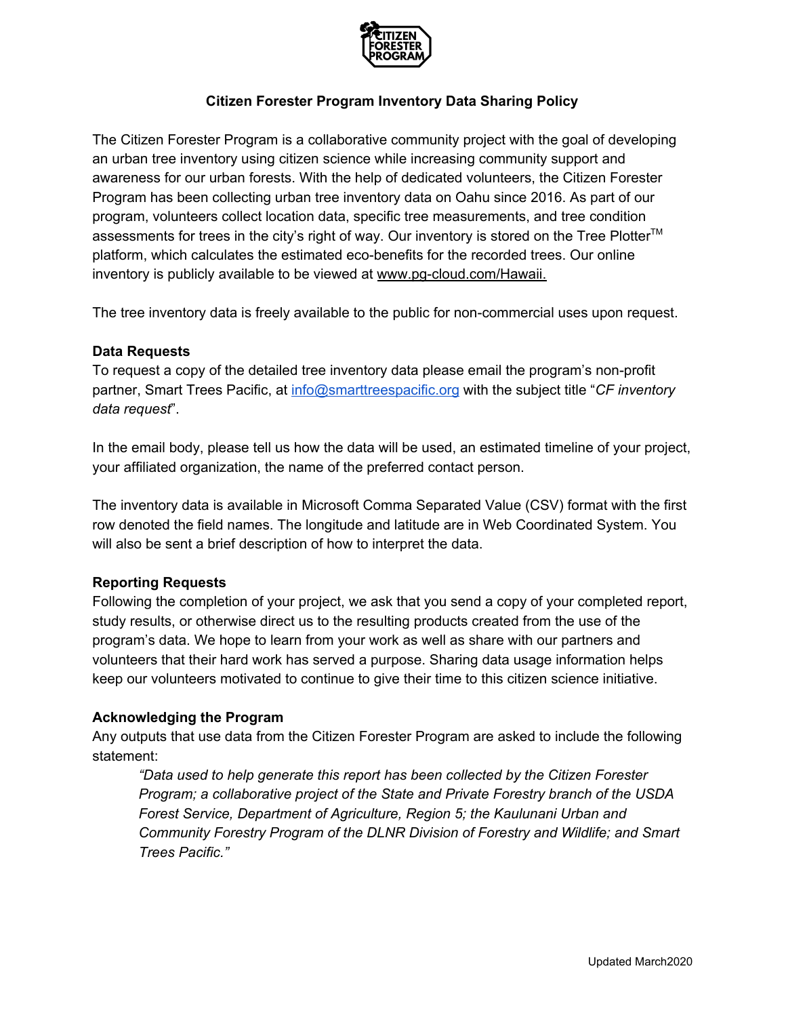

## **Citizen Forester Program Inventory Data Sharing Policy**

The Citizen Forester Program is a collaborative community project with the goal of developing an urban tree inventory using citizen science while increasing community support and awareness for our urban forests. With the help of dedicated volunteers, the Citizen Forester Program has been collecting urban tree inventory data on Oahu since 2016. As part of our program, volunteers collect location data, specific tree measurements, and tree condition assessments for trees in the city's right of way. Our inventory is stored on the Tree Plotter<sup>™</sup> platform, which calculates the estimated eco-benefits for the recorded trees. Our online inventory is publicly available to be viewed at [www.pg-cloud.com/Hawaii.](http://www.pg-cloud.com/Hawaii)

The tree inventory data is freely available to the public for non-commercial uses upon request.

## **Data Requests**

To request a copy of the detailed tree inventory data please email the program's non-profit partner, Smart Trees Pacific, at [info@smarttreespacific.org](mailto:info@smarttreespacific.org) with the subject title "*CF inventory data request*".

In the email body, please tell us how the data will be used, an estimated timeline of your project, your affiliated organization, the name of the preferred contact person.

The inventory data is available in Microsoft Comma Separated Value (CSV) format with the first row denoted the field names. The longitude and latitude are in Web Coordinated System. You will also be sent a brief description of how to interpret the data.

## **Reporting Requests**

Following the completion of your project, we ask that you send a copy of your completed report, study results, or otherwise direct us to the resulting products created from the use of the program's data. We hope to learn from your work as well as share with our partners and volunteers that their hard work has served a purpose. Sharing data usage information helps keep our volunteers motivated to continue to give their time to this citizen science initiative.

## **Acknowledging the Program**

Any outputs that use data from the Citizen Forester Program are asked to include the following statement:

*"Data used to help generate this report has been collected by the Citizen Forester Program; a collaborative project of the State and Private Forestry branch of the USDA Forest Service, Department of Agriculture, Region 5; the Kaulunani Urban and Community Forestry Program of the DLNR Division of Forestry and Wildlife; and Smart Trees Pacific."*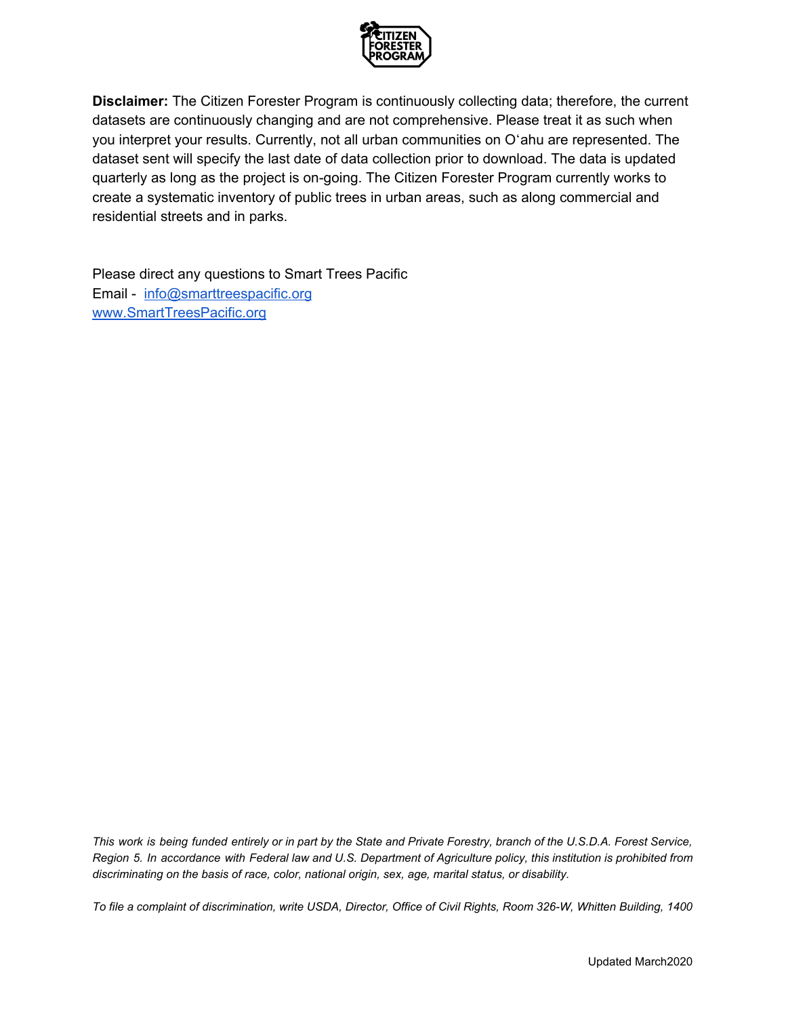

**Disclaimer:** The Citizen Forester Program is continuously collecting data; therefore, the current datasets are continuously changing and are not comprehensive. Please treat it as such when you interpret your results. Currently, not all urban communities on Oʻahu are represented. The dataset sent will specify the last date of data collection prior to download. The data is updated quarterly as long as the project is on-going. The Citizen Forester Program currently works to create a systematic inventory of public trees in urban areas, such as along commercial and residential streets and in parks.

Please direct any questions to Smart Trees Pacific Email - [info@smarttreespacific.org](mailto:info@smarttreespacific.org) [www.SmartTreesPacific.org](http://www.smarttreespacific.org/)

This work is being funded entirely or in part by the State and Private Forestry, branch of the U.S.D.A. Forest Service, Region 5. In accordance with Federal law and U.S. Department of Agriculture policy, this institution is prohibited from *discriminating on the basis of race, color, national origin, sex, age, marital status, or disability.*

To file a complaint of discrimination, write USDA, Director, Office of Civil Rights, Room 326-W, Whitten Building, 1400